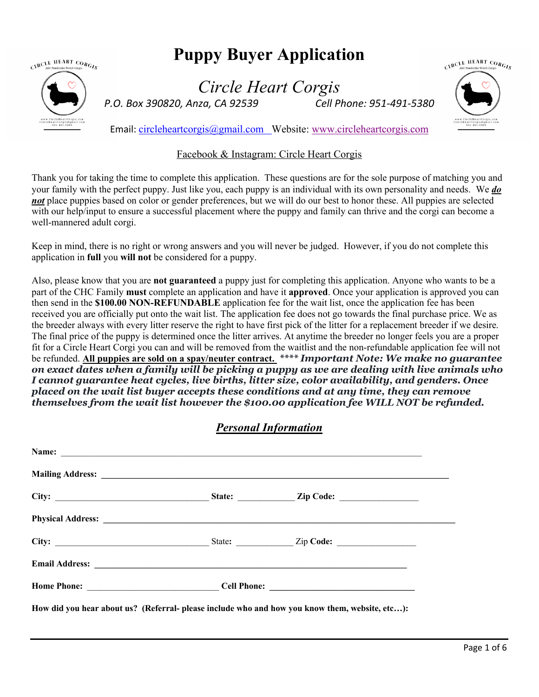

# **Puppy Buyer Application**

*Circle Heart Corgis P.O. Box 390820, Anza, CA 92539 Cell Phone: 951-491-5380*



Email: circleheartcorgis@gmail.com Website: www.circleheartcorgis.com

### Facebook & Instagram: Circle Heart Corgis

Thank you for taking the time to complete this application. These questions are for the sole purpose of matching you and your family with the perfect puppy. Just like you, each puppy is an individual with its own personality and needs. We *do not* place puppies based on color or gender preferences, but we will do our best to honor these. All puppies are selected with our help/input to ensure a successful placement where the puppy and family can thrive and the corgi can become a well-mannered adult corgi.

Keep in mind, there is no right or wrong answers and you will never be judged. However, if you do not complete this application in **full** you **will not** be considered for a puppy.

Also, please know that you are **not guaranteed** a puppy just for completing this application. Anyone who wants to be a part of the CHC Family **must** complete an application and have it **approved**. Once your application is approved you can then send in the **\$100.00 NON-REFUNDABLE** application fee for the wait list, once the application fee has been received you are officially put onto the wait list. The application fee does not go towards the final purchase price. We as the breeder always with every litter reserve the right to have first pick of the litter for a replacement breeder if we desire. The final price of the puppy is determined once the litter arrives. At anytime the breeder no longer feels you are a proper fit for a Circle Heart Corgi you can and will be removed from the waitlist and the non-refundable application fee will not be refunded. **All puppies are sold on a spay/neuter contract.** *\*\*\*\* Important Note: We make no guarantee on exact dates when a family will be picking a puppy as we are dealing with live animals who I cannot guarantee heat cycles, live births, litter size, color availability, and genders. Once placed on the wait list buyer accepts these conditions and at any time, they can remove themselves from the wait list however the \$100.00 application fee WILL NOT be refunded.*

## *Personal Information*

|  | Physical Address: <u>Quantity of the contract of the contract of the contract of the contract of the contract of the contract of the contract of the contract of the contract of the contract of the contract of the contract of</u> |  |
|--|--------------------------------------------------------------------------------------------------------------------------------------------------------------------------------------------------------------------------------------|--|
|  |                                                                                                                                                                                                                                      |  |
|  |                                                                                                                                                                                                                                      |  |
|  |                                                                                                                                                                                                                                      |  |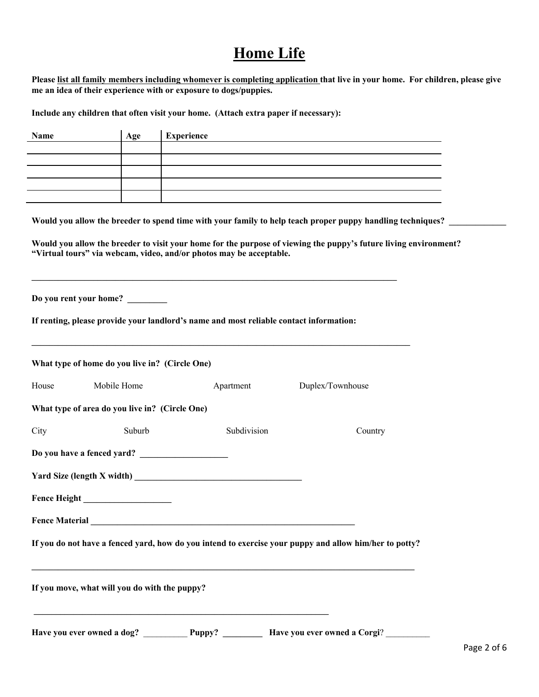# **Home Life**

**Please list all family members including whomever is completing application that live in your home. For children, please give me an idea of their experience with or exposure to dogs/puppies.**

**Include any children that often visit your home. (Attach extra paper if necessary):**

| Name                  | Age                                            | <b>Experience</b>                                                                                                                                                                           |                                                                                                                  |
|-----------------------|------------------------------------------------|---------------------------------------------------------------------------------------------------------------------------------------------------------------------------------------------|------------------------------------------------------------------------------------------------------------------|
|                       |                                                |                                                                                                                                                                                             |                                                                                                                  |
|                       |                                                |                                                                                                                                                                                             |                                                                                                                  |
|                       |                                                |                                                                                                                                                                                             |                                                                                                                  |
|                       |                                                |                                                                                                                                                                                             | Would you allow the breeder to spend time with your family to help teach proper puppy handling techniques?       |
|                       |                                                | "Virtual tours" via webcam, video, and/or photos may be acceptable.<br><u> 1989 - Johann Barn, amerikan berkema dalam berkema dalam berkema dalam berkema dalam berkema dalam berkema d</u> | Would you allow the breeder to visit your home for the purpose of viewing the puppy's future living environment? |
|                       | Do you rent your home?                         | If renting, please provide your landlord's name and most reliable contact information:                                                                                                      |                                                                                                                  |
|                       | What type of home do you live in? (Circle One) |                                                                                                                                                                                             |                                                                                                                  |
| House                 | Mobile Home                                    | Apartment                                                                                                                                                                                   | Duplex/Townhouse                                                                                                 |
|                       | What type of area do you live in? (Circle One) |                                                                                                                                                                                             |                                                                                                                  |
| City                  | Suburb                                         | Subdivision                                                                                                                                                                                 | Country                                                                                                          |
|                       |                                                | Do you have a fenced yard?                                                                                                                                                                  |                                                                                                                  |
|                       |                                                |                                                                                                                                                                                             |                                                                                                                  |
|                       |                                                |                                                                                                                                                                                             |                                                                                                                  |
| <b>Fence Material</b> |                                                | <u> 1989 - Johann John Stein, mars ar yw i ganrif y cynnwys y cynnwys y cynnwys y cynnwys y cynnwys y cynnwys y c</u>                                                                       |                                                                                                                  |
|                       |                                                |                                                                                                                                                                                             | If you do not have a fenced yard, how do you intend to exercise your puppy and allow him/her to potty?           |
|                       | If you move, what will you do with the puppy?  |                                                                                                                                                                                             |                                                                                                                  |
|                       |                                                | <u> 1989 - Johann John Stein, markin fizik ar yezhoù an den an den an den an den an den an den an den an den an d</u>                                                                       |                                                                                                                  |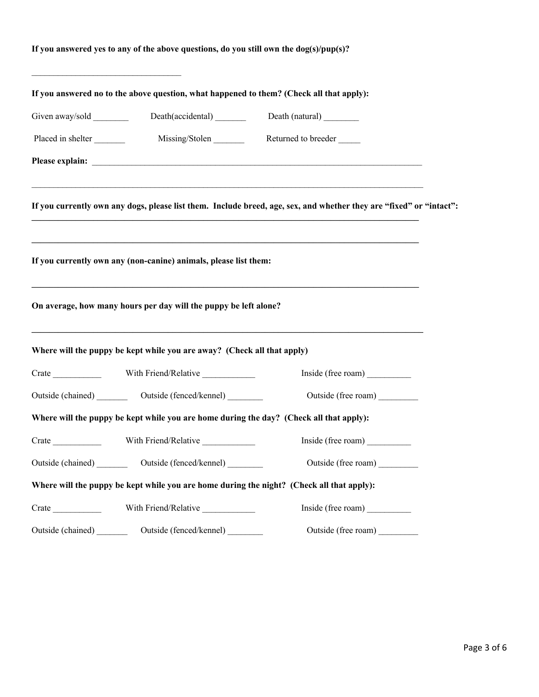## **If you answered yes to any of the above questions, do you still own the dog(s)/pup(s)?**

 $\mathcal{L}_\text{max}$ 

|                   | If you answered no to the above question, what happened to them? (Check all that apply): |                                                                                                                     |  |
|-------------------|------------------------------------------------------------------------------------------|---------------------------------------------------------------------------------------------------------------------|--|
|                   | Death(accidental)                                                                        | Death (natural)                                                                                                     |  |
| Placed in shelter | Missing/Stolen                                                                           | Returned to breeder                                                                                                 |  |
|                   |                                                                                          |                                                                                                                     |  |
|                   |                                                                                          | If you currently own any dogs, please list them. Include breed, age, sex, and whether they are "fixed" or "intact": |  |
|                   | If you currently own any (non-canine) animals, please list them:                         |                                                                                                                     |  |
|                   | On average, how many hours per day will the puppy be left alone?                         |                                                                                                                     |  |
|                   | Where will the puppy be kept while you are away? (Check all that apply)                  | ,我们也不能在这里的时候,我们也不能在这里的时候,我们也不能在这里的时候,我们也不能会在这里的时候,我们也不能会在这里的时候,我们也不能会在这里的时候,我们也不能                                   |  |
|                   |                                                                                          | Inside (free roam)                                                                                                  |  |
|                   | Outside (chained) __________ Outside (fenced/kennel) ________                            | Outside (free roam)                                                                                                 |  |
|                   |                                                                                          | Where will the puppy be kept while you are home during the day? (Check all that apply):                             |  |
|                   |                                                                                          | Inside (free roam)                                                                                                  |  |
|                   | Outside (chained) __________ Outside (fenced/kennel) ________                            | Outside (free roam)                                                                                                 |  |
|                   |                                                                                          | Where will the puppy be kept while you are home during the night? (Check all that apply):                           |  |
|                   | With Friend/Relative                                                                     | Inside (free roam)                                                                                                  |  |
|                   | Outside (chained) __________ Outside (fenced/kennel) _________                           | Outside (free roam)                                                                                                 |  |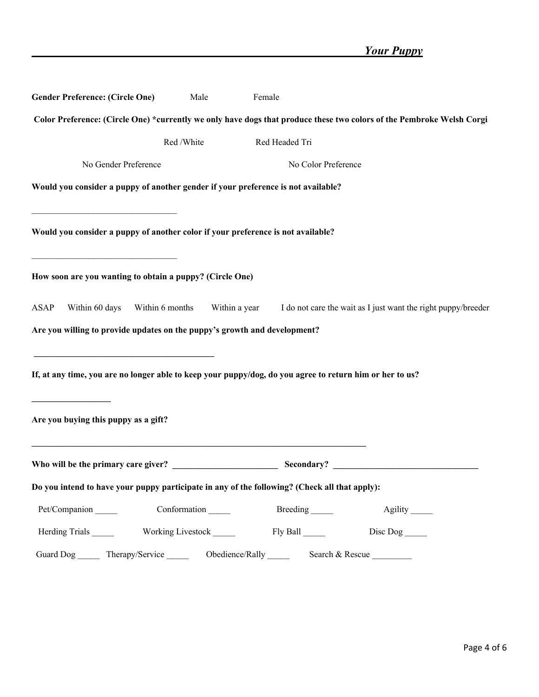| <b>Gender Preference: (Circle One)</b>                                                                                                                                                                                            | Male              | Female              |                                                                                                                       |
|-----------------------------------------------------------------------------------------------------------------------------------------------------------------------------------------------------------------------------------|-------------------|---------------------|-----------------------------------------------------------------------------------------------------------------------|
|                                                                                                                                                                                                                                   |                   |                     | Color Preference: (Circle One) *currently we only have dogs that produce these two colors of the Pembroke Welsh Corgi |
|                                                                                                                                                                                                                                   | Red / White       | Red Headed Tri      |                                                                                                                       |
| No Gender Preference                                                                                                                                                                                                              |                   | No Color Preference |                                                                                                                       |
| Would you consider a puppy of another gender if your preference is not available?                                                                                                                                                 |                   |                     |                                                                                                                       |
| Would you consider a puppy of another color if your preference is not available?                                                                                                                                                  |                   |                     |                                                                                                                       |
| <u> 1989 - Johann Stoff, deutscher Stoffen und der Stoffen und der Stoffen und der Stoffen und der Stoffen und der</u><br>How soon are you wanting to obtain a puppy? (Circle One)                                                |                   |                     |                                                                                                                       |
| ASAP<br>Within 60 days<br>Within 6 months                                                                                                                                                                                         |                   |                     | Within a year I do not care the wait as I just want the right puppy/breeder                                           |
| Are you willing to provide updates on the puppy's growth and development?                                                                                                                                                         |                   |                     |                                                                                                                       |
| <u> 2000 - Jan James James James James James James James James James James James James James James James James Ja</u><br>If, at any time, you are no longer able to keep your puppy/dog, do you agree to return him or her to us? |                   |                     |                                                                                                                       |
| Are you buying this puppy as a gift?                                                                                                                                                                                              |                   |                     |                                                                                                                       |
|                                                                                                                                                                                                                                   |                   |                     |                                                                                                                       |
| Do you intend to have your puppy participate in any of the following? (Check all that apply):                                                                                                                                     |                   |                     |                                                                                                                       |
| Pet/Companion                                                                                                                                                                                                                     | Conformation      | Breeding            |                                                                                                                       |
| Herding Trials                                                                                                                                                                                                                    | Working Livestock | Fly Ball            | $Disc Dog$ <sub>_____</sub>                                                                                           |
| Guard Dog<br>Therapy/Service                                                                                                                                                                                                      | Obedience/Rally   | Search & Rescue     |                                                                                                                       |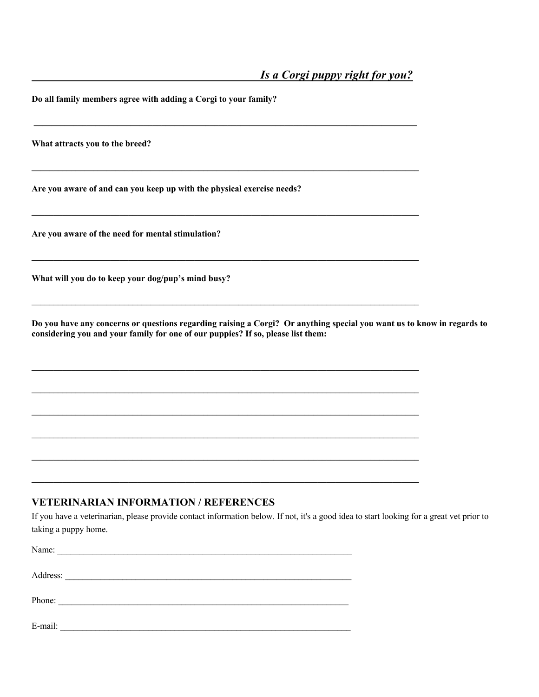**Do all family members agree with adding a Corgi to your family?**

**What attracts you to the breed?**

**Are you aware of and can you keep up with the physical exercise needs?**

**\_\_\_\_\_\_\_\_\_\_\_\_\_\_\_\_\_\_\_\_\_\_\_\_\_\_\_\_\_\_\_\_\_\_\_\_\_\_\_\_\_\_\_\_\_\_\_\_\_\_\_\_\_\_\_\_\_\_\_\_\_\_\_\_\_\_\_\_\_\_\_\_\_\_\_\_\_\_\_\_\_\_\_\_\_\_\_**

 $\mathcal{L}_\mathcal{L}$ 

**\_\_\_\_\_\_\_\_\_\_\_\_\_\_\_\_\_\_\_\_\_\_\_\_\_\_\_\_\_\_\_\_\_\_\_\_\_\_\_\_\_\_\_\_\_\_\_\_\_\_\_\_\_\_\_\_\_\_\_\_\_\_\_\_\_\_\_\_\_\_\_\_\_\_\_\_\_\_\_\_\_\_\_\_\_\_\_\_**

 $\mathcal{L}_\mathcal{L}$ 

**\_\_\_\_\_\_\_\_\_\_\_\_\_\_\_\_\_\_\_\_\_\_\_\_\_\_\_\_\_\_\_\_\_\_\_\_\_\_\_\_\_\_\_\_\_\_\_\_\_\_\_\_\_\_\_\_\_\_\_\_\_\_\_\_\_\_\_\_\_\_\_\_\_\_\_\_\_\_\_\_\_\_\_\_\_\_\_\_**

**\_\_\_\_\_\_\_\_\_\_\_\_\_\_\_\_\_\_\_\_\_\_\_\_\_\_\_\_\_\_\_\_\_\_\_\_\_\_\_\_\_\_\_\_\_\_\_\_\_\_\_\_\_\_\_\_\_\_\_\_\_\_\_\_\_\_\_\_\_\_\_\_\_\_\_\_\_\_\_\_\_\_\_\_\_\_\_\_**

**\_\_\_\_\_\_\_\_\_\_\_\_\_\_\_\_\_\_\_\_\_\_\_\_\_\_\_\_\_\_\_\_\_\_\_\_\_\_\_\_\_\_\_\_\_\_\_\_\_\_\_\_\_\_\_\_\_\_\_\_\_\_\_\_\_\_\_\_\_\_\_\_\_\_\_\_\_\_\_\_\_\_\_\_\_\_\_\_**

**\_\_\_\_\_\_\_\_\_\_\_\_\_\_\_\_\_\_\_\_\_\_\_\_\_\_\_\_\_\_\_\_\_\_\_\_\_\_\_\_\_\_\_\_\_\_\_\_\_\_\_\_\_\_\_\_\_\_\_\_\_\_\_\_\_\_\_\_\_\_\_\_\_\_\_\_\_\_\_\_\_\_\_\_\_\_\_\_**

**\_\_\_\_\_\_\_\_\_\_\_\_\_\_\_\_\_\_\_\_\_\_\_\_\_\_\_\_\_\_\_\_\_\_\_\_\_\_\_\_\_\_\_\_\_\_\_\_\_\_\_\_\_\_\_\_\_\_\_\_\_\_\_\_\_\_\_\_\_\_\_\_\_\_\_\_\_\_\_\_\_\_\_\_\_\_\_\_**

**\_\_\_\_\_\_\_\_\_\_\_\_\_\_\_\_\_\_\_\_\_\_\_\_\_\_\_\_\_\_\_\_\_\_\_\_\_\_\_\_\_\_\_\_\_\_\_\_\_\_\_\_\_\_\_\_\_\_\_\_\_\_\_\_\_\_\_\_\_\_\_\_\_\_\_\_\_\_\_\_\_\_\_\_\_\_\_\_**

**\_\_\_\_\_\_\_\_\_\_\_\_\_\_\_\_\_\_\_\_\_\_\_\_\_\_\_\_\_\_\_\_\_\_\_\_\_\_\_\_\_\_\_\_\_\_\_\_\_\_\_\_\_\_\_\_\_\_\_\_\_\_\_\_\_\_\_\_\_\_\_\_\_\_\_\_\_\_\_\_\_\_\_\_\_\_\_\_**

**Are you aware of the need for mental stimulation?**

**What will you do to keep your dog/pup's mind busy?**

**Do you have any concerns or questions regarding raising a Corgi? Or anything special you want us to know in regards to considering you and your family for one of our puppies? If so, please list them:**

#### **VETERINARIAN INFORMATION / REFERENCES**

If you have a veterinarian, please provide contact information below. If not, it's a good idea to start looking for a great vet prior to taking a puppy home.

| Name:    | <u> 1980 - Johann Barbara, margaret eta idazlear</u>                                                                   |  |
|----------|------------------------------------------------------------------------------------------------------------------------|--|
|          |                                                                                                                        |  |
| Address: | the control of the control of the control of the control of the control of                                             |  |
|          |                                                                                                                        |  |
| Phone:   | <u> 1989 - Jan Barnett, mars ann an t-Amhraid ann an t-Amhraid ann an t-Amhraid ann an t-Amhraid ann an t-Amhraid </u> |  |
|          |                                                                                                                        |  |
| E-mail:  |                                                                                                                        |  |
|          |                                                                                                                        |  |